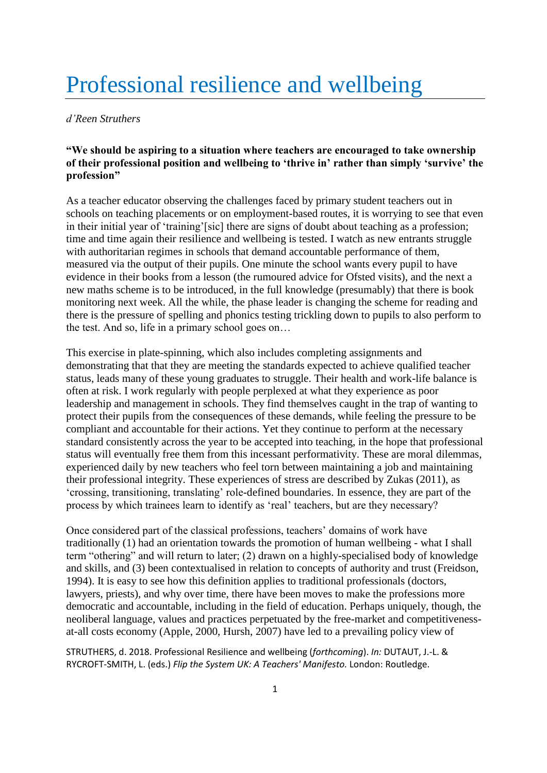# Professional resilience and wellbeing

### *d'Reen Struthers*

## **"We should be aspiring to a situation where teachers are encouraged to take ownership of their professional position and wellbeing to 'thrive in' rather than simply 'survive' the profession"**

As a teacher educator observing the challenges faced by primary student teachers out in schools on teaching placements or on employment-based routes, it is worrying to see that even in their initial year of 'training'[sic] there are signs of doubt about teaching as a profession; time and time again their resilience and wellbeing is tested. I watch as new entrants struggle with authoritarian regimes in schools that demand accountable performance of them, measured via the output of their pupils. One minute the school wants every pupil to have evidence in their books from a lesson (the rumoured advice for Ofsted visits), and the next a new maths scheme is to be introduced, in the full knowledge (presumably) that there is book monitoring next week. All the while, the phase leader is changing the scheme for reading and there is the pressure of spelling and phonics testing trickling down to pupils to also perform to the test. And so, life in a primary school goes on…

This exercise in plate-spinning, which also includes completing assignments and demonstrating that that they are meeting the standards expected to achieve qualified teacher status, leads many of these young graduates to struggle. Their health and work-life balance is often at risk. I work regularly with people perplexed at what they experience as poor leadership and management in schools. They find themselves caught in the trap of wanting to protect their pupils from the consequences of these demands, while feeling the pressure to be compliant and accountable for their actions. Yet they continue to perform at the necessary standard consistently across the year to be accepted into teaching, in the hope that professional status will eventually free them from this incessant performativity. These are moral dilemmas, experienced daily by new teachers who feel torn between maintaining a job and maintaining their professional integrity. These experiences of stress are described by Zukas (2011), as 'crossing, transitioning, translating' role-defined boundaries. In essence, they are part of the process by which trainees learn to identify as 'real' teachers, but are they necessary?

Once considered part of the classical professions, teachers' domains of work have traditionally (1) had an orientation towards the promotion of human wellbeing - what I shall term "othering" and will return to later; (2) drawn on a highly-specialised body of knowledge and skills, and (3) been contextualised in relation to concepts of authority and trust (Freidson, 1994). It is easy to see how this definition applies to traditional professionals (doctors, lawyers, priests), and why over time, there have been moves to make the professions more democratic and accountable, including in the field of education. Perhaps uniquely, though, the neoliberal language, values and practices perpetuated by the free-market and competitivenessat-all costs economy (Apple, 2000, Hursh, 2007) have led to a prevailing policy view of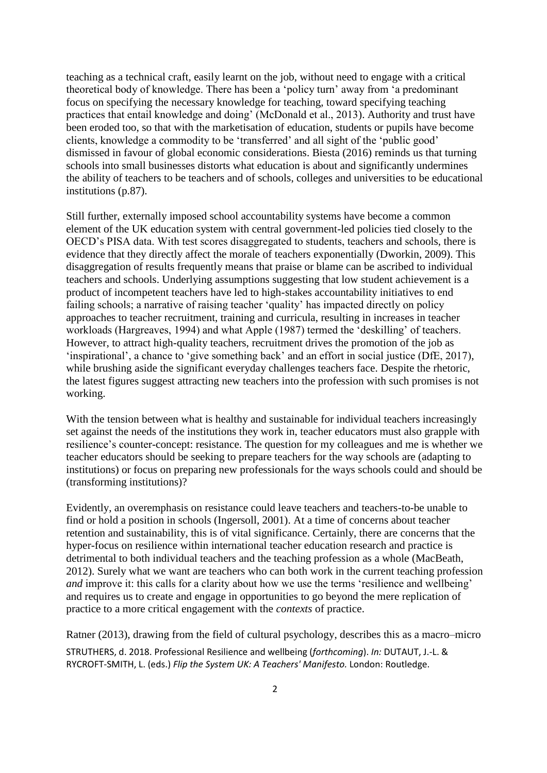teaching as a technical craft, easily learnt on the job, without need to engage with a critical theoretical body of knowledge. There has been a 'policy turn' away from 'a predominant focus on specifying the necessary knowledge for teaching, toward specifying teaching practices that entail knowledge and doing' (McDonald et al., 2013). Authority and trust have been eroded too, so that with the marketisation of education, students or pupils have become clients, knowledge a commodity to be 'transferred' and all sight of the 'public good' dismissed in favour of global economic considerations. Biesta (2016) reminds us that turning schools into small businesses distorts what education is about and significantly undermines the ability of teachers to be teachers and of schools, colleges and universities to be educational institutions (p.87).

Still further, externally imposed school accountability systems have become a common element of the UK education system with central government-led policies tied closely to the OECD's PISA data. With test scores disaggregated to students, teachers and schools, there is evidence that they directly affect the morale of teachers exponentially (Dworkin, 2009). This disaggregation of results frequently means that praise or blame can be ascribed to individual teachers and schools. Underlying assumptions suggesting that low student achievement is a product of incompetent teachers have led to high-stakes accountability initiatives to end failing schools; a narrative of raising teacher 'quality' has impacted directly on policy approaches to teacher recruitment, training and curricula, resulting in increases in teacher workloads (Hargreaves, 1994) and what Apple (1987) termed the 'deskilling' of teachers. However, to attract high-quality teachers, recruitment drives the promotion of the job as 'inspirational', a chance to 'give something back' and an effort in social justice (DfE, 2017), while brushing aside the significant everyday challenges teachers face. Despite the rhetoric, the latest figures suggest attracting new teachers into the profession with such promises is not working.

With the tension between what is healthy and sustainable for individual teachers increasingly set against the needs of the institutions they work in, teacher educators must also grapple with resilience's counter-concept: resistance. The question for my colleagues and me is whether we teacher educators should be seeking to prepare teachers for the way schools are (adapting to institutions) or focus on preparing new professionals for the ways schools could and should be (transforming institutions)?

Evidently, an overemphasis on resistance could leave teachers and teachers-to-be unable to find or hold a position in schools (Ingersoll, 2001). At a time of concerns about teacher retention and sustainability, this is of vital significance. Certainly, there are concerns that the hyper-focus on resilience within international teacher education research and practice is detrimental to both individual teachers and the teaching profession as a whole (MacBeath, 2012). Surely what we want are teachers who can both work in the current teaching profession *and* improve it: this calls for a clarity about how we use the terms 'resilience and wellbeing' and requires us to create and engage in opportunities to go beyond the mere replication of practice to a more critical engagement with the *contexts* of practice.

Ratner (2013), drawing from the field of cultural psychology, describes this as a macro–micro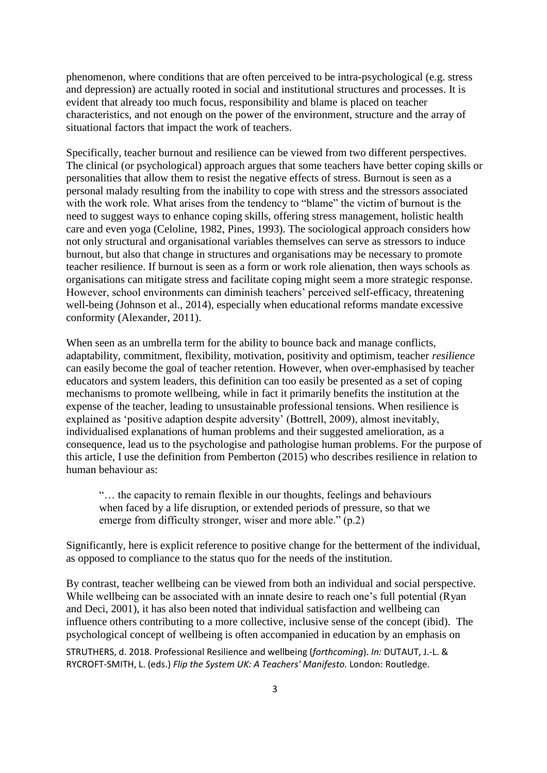phenomenon, where conditions that are often perceived to be intra-psychological (e.g. stress and depression) are actually rooted in social and institutional structures and processes. It is evident that already too much focus, responsibility and blame is placed on teacher characteristics, and not enough on the power of the environment, structure and the array of situational factors that impact the work of teachers.

Specifically, teacher burnout and resilience can be viewed from two different perspectives. The clinical (or psychological) approach argues that some teachers have better coping skills or personalities that allow them to resist the negative effects of stress. Burnout is seen as a personal malady resulting from the inability to cope with stress and the stressors associated with the work role. What arises from the tendency to "blame" the victim of burnout is the need to suggest ways to enhance coping skills, offering stress management, holistic health care and even yoga (Celoline, 1982, Pines, 1993). The sociological approach considers how not only structural and organisational variables themselves can serve as stressors to induce burnout, but also that change in structures and organisations may be necessary to promote teacher resilience. If burnout is seen as a form or work role alienation, then ways schools as organisations can mitigate stress and facilitate coping might seem a more strategic response. However, school environments can diminish teachers' perceived self-efficacy, threatening well-being (Johnson et al., 2014), especially when educational reforms mandate excessive conformity (Alexander, 2011).

When seen as an umbrella term for the ability to bounce back and manage conflicts, adaptability, commitment, flexibility, motivation, positivity and optimism, teacher *resilience* can easily become the goal of teacher retention. However, when over-emphasised by teacher educators and system leaders, this definition can too easily be presented as a set of coping mechanisms to promote wellbeing, while in fact it primarily benefits the institution at the expense of the teacher, leading to unsustainable professional tensions. When resilience is explained as 'positive adaption despite adversity' (Bottrell, 2009), almost inevitably, individualised explanations of human problems and their suggested amelioration, as a consequence, lead us to the psychologise and pathologise human problems. For the purpose of this article, I use the definition from Pemberton (2015) who describes resilience in relation to human behaviour as:

"… the capacity to remain flexible in our thoughts, feelings and behaviours when faced by a life disruption, or extended periods of pressure, so that we emerge from difficulty stronger, wiser and more able." (p.2)

Significantly, here is explicit reference to positive change for the betterment of the individual, as opposed to compliance to the status quo for the needs of the institution.

By contrast, teacher wellbeing can be viewed from both an individual and social perspective. While wellbeing can be associated with an innate desire to reach one's full potential (Ryan and Deci, 2001), it has also been noted that individual satisfaction and wellbeing can influence others contributing to a more collective, inclusive sense of the concept (ibid). The psychological concept of wellbeing is often accompanied in education by an emphasis on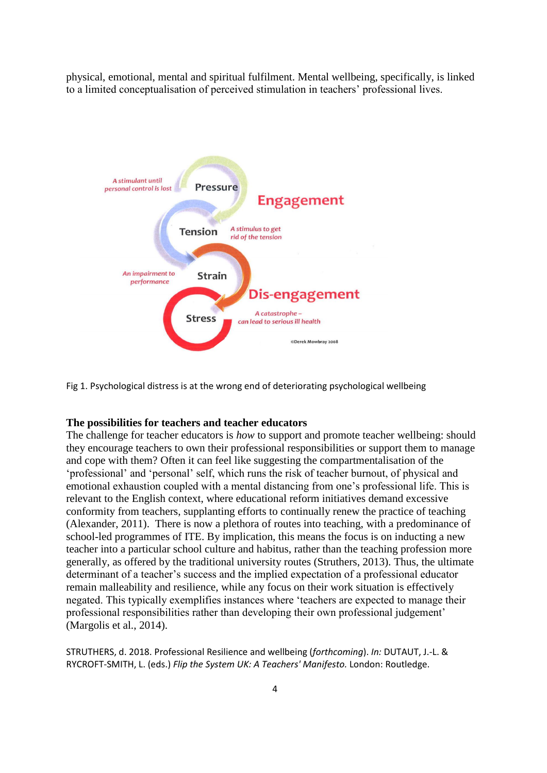physical, emotional, mental and spiritual fulfilment. Mental wellbeing, specifically, is linked to a limited conceptualisation of perceived stimulation in teachers' professional lives.



Fig 1. Psychological distress is at the wrong end of deteriorating psychological wellbeing

#### **The possibilities for teachers and teacher educators**

The challenge for teacher educators is *how* to support and promote teacher wellbeing: should they encourage teachers to own their professional responsibilities or support them to manage and cope with them? Often it can feel like suggesting the compartmentalisation of the 'professional' and 'personal' self, which runs the risk of teacher burnout, of physical and emotional exhaustion coupled with a mental distancing from one's professional life. This is relevant to the English context, where educational reform initiatives demand excessive conformity from teachers, supplanting efforts to continually renew the practice of teaching (Alexander, 2011). There is now a plethora of routes into teaching, with a predominance of school-led programmes of ITE. By implication, this means the focus is on inducting a new teacher into a particular school culture and habitus, rather than the teaching profession more generally, as offered by the traditional university routes (Struthers, 2013). Thus, the ultimate determinant of a teacher's success and the implied expectation of a professional educator remain malleability and resilience, while any focus on their work situation is effectively negated. This typically exemplifies instances where 'teachers are expected to manage their professional responsibilities rather than developing their own professional judgement' (Margolis et al., 2014).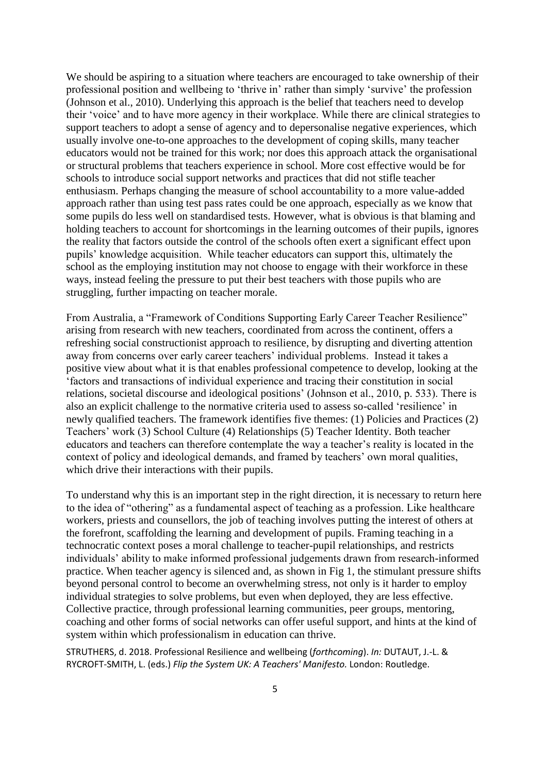We should be aspiring to a situation where teachers are encouraged to take ownership of their professional position and wellbeing to 'thrive in' rather than simply 'survive' the profession (Johnson et al., 2010). Underlying this approach is the belief that teachers need to develop their 'voice' and to have more agency in their workplace. While there are clinical strategies to support teachers to adopt a sense of agency and to depersonalise negative experiences, which usually involve one-to-one approaches to the development of coping skills, many teacher educators would not be trained for this work; nor does this approach attack the organisational or structural problems that teachers experience in school. More cost effective would be for schools to introduce social support networks and practices that did not stifle teacher enthusiasm. Perhaps changing the measure of school accountability to a more value-added approach rather than using test pass rates could be one approach, especially as we know that some pupils do less well on standardised tests. However, what is obvious is that blaming and holding teachers to account for shortcomings in the learning outcomes of their pupils, ignores the reality that factors outside the control of the schools often exert a significant effect upon pupils' knowledge acquisition. While teacher educators can support this, ultimately the school as the employing institution may not choose to engage with their workforce in these ways, instead feeling the pressure to put their best teachers with those pupils who are struggling, further impacting on teacher morale.

From Australia, a "Framework of Conditions Supporting Early Career Teacher Resilience" arising from research with new teachers, coordinated from across the continent, offers a refreshing social constructionist approach to resilience, by disrupting and diverting attention away from concerns over early career teachers' individual problems. Instead it takes a positive view about what it is that enables professional competence to develop, looking at the 'factors and transactions of individual experience and tracing their constitution in social relations, societal discourse and ideological positions' (Johnson et al., 2010, p. 533). There is also an explicit challenge to the normative criteria used to assess so-called 'resilience' in newly qualified teachers. The framework identifies five themes: (1) Policies and Practices (2) Teachers' work (3) School Culture (4) Relationships (5) Teacher Identity. Both teacher educators and teachers can therefore contemplate the way a teacher's reality is located in the context of policy and ideological demands, and framed by teachers' own moral qualities, which drive their interactions with their pupils.

To understand why this is an important step in the right direction, it is necessary to return here to the idea of "othering" as a fundamental aspect of teaching as a profession. Like healthcare workers, priests and counsellors, the job of teaching involves putting the interest of others at the forefront, scaffolding the learning and development of pupils. Framing teaching in a technocratic context poses a moral challenge to teacher-pupil relationships, and restricts individuals' ability to make informed professional judgements drawn from research-informed practice. When teacher agency is silenced and, as shown in Fig 1, the stimulant pressure shifts beyond personal control to become an overwhelming stress, not only is it harder to employ individual strategies to solve problems, but even when deployed, they are less effective. Collective practice, through professional learning communities, peer groups, mentoring, coaching and other forms of social networks can offer useful support, and hints at the kind of system within which professionalism in education can thrive.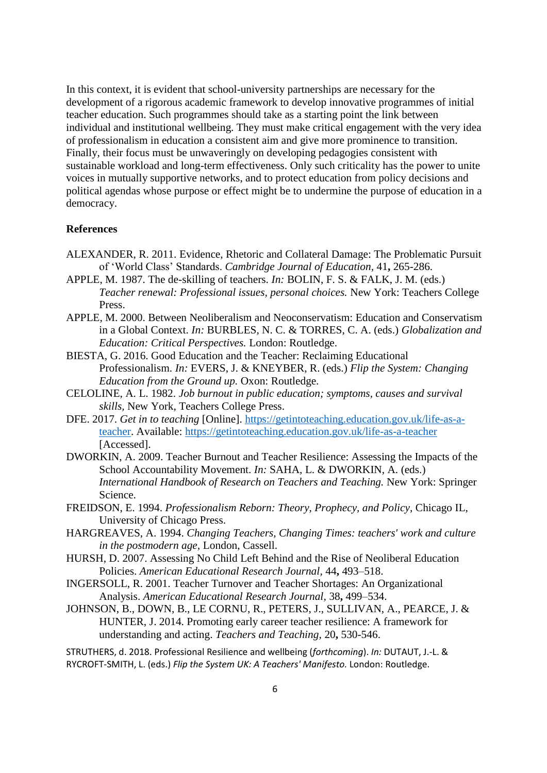In this context, it is evident that school-university partnerships are necessary for the development of a rigorous academic framework to develop innovative programmes of initial teacher education. Such programmes should take as a starting point the link between individual and institutional wellbeing. They must make critical engagement with the very idea of professionalism in education a consistent aim and give more prominence to transition. Finally, their focus must be unwaveringly on developing pedagogies consistent with sustainable workload and long-term effectiveness. Only such criticality has the power to unite voices in mutually supportive networks, and to protect education from policy decisions and political agendas whose purpose or effect might be to undermine the purpose of education in a democracy.

#### **References**

- ALEXANDER, R. 2011. Evidence, Rhetoric and Collateral Damage: The Problematic Pursuit of 'World Class' Standards. *Cambridge Journal of Education,* 41**,** 265-286.
- APPLE, M. 1987. The de-skilling of teachers. *In:* BOLIN, F. S. & FALK, J. M. (eds.) *Teacher renewal: Professional issues, personal choices.* New York: Teachers College Press.
- APPLE, M. 2000. Between Neoliberalism and Neoconservatism: Education and Conservatism in a Global Context. *In:* BURBLES, N. C. & TORRES, C. A. (eds.) *Globalization and Education: Critical Perspectives.* London: Routledge.
- BIESTA, G. 2016. Good Education and the Teacher: Reclaiming Educational Professionalism. *In:* EVERS, J. & KNEYBER, R. (eds.) *Flip the System: Changing Education from the Ground up.* Oxon: Routledge.
- CELOLINE, A. L. 1982. *Job burnout in public education; symptoms, causes and survival skills,* New York, Teachers College Press.
- DFE. 2017. *Get in to teaching* [Online]. [https://getintoteaching.education.gov.uk/life-as-a](https://getintoteaching.education.gov.uk/life-as-a-teacher)[teacher.](https://getintoteaching.education.gov.uk/life-as-a-teacher) Available:<https://getintoteaching.education.gov.uk/life-as-a-teacher> [Accessed].
- DWORKIN, A. 2009. Teacher Burnout and Teacher Resilience: Assessing the Impacts of the School Accountability Movement. *In:* SAHA, L. & DWORKIN, A. (eds.) *International Handbook of Research on Teachers and Teaching.* New York: Springer Science.
- FREIDSON, E. 1994. *Professionalism Reborn: Theory, Prophecy, and Policy,* Chicago IL, University of Chicago Press.
- HARGREAVES, A. 1994. *Changing Teachers, Changing Times: teachers' work and culture in the postmodern age,* London, Cassell.
- HURSH, D. 2007. Assessing No Child Left Behind and the Rise of Neoliberal Education Policies. *American Educational Research Journal,* 44**,** 493–518.
- INGERSOLL, R. 2001. Teacher Turnover and Teacher Shortages: An Organizational Analysis. *American Educational Research Journal,* 38**,** 499–534.
- JOHNSON, B., DOWN, B., LE CORNU, R., PETERS, J., SULLIVAN, A., PEARCE, J. & HUNTER, J. 2014. Promoting early career teacher resilience: A framework for understanding and acting. *Teachers and Teaching,* 20**,** 530-546.